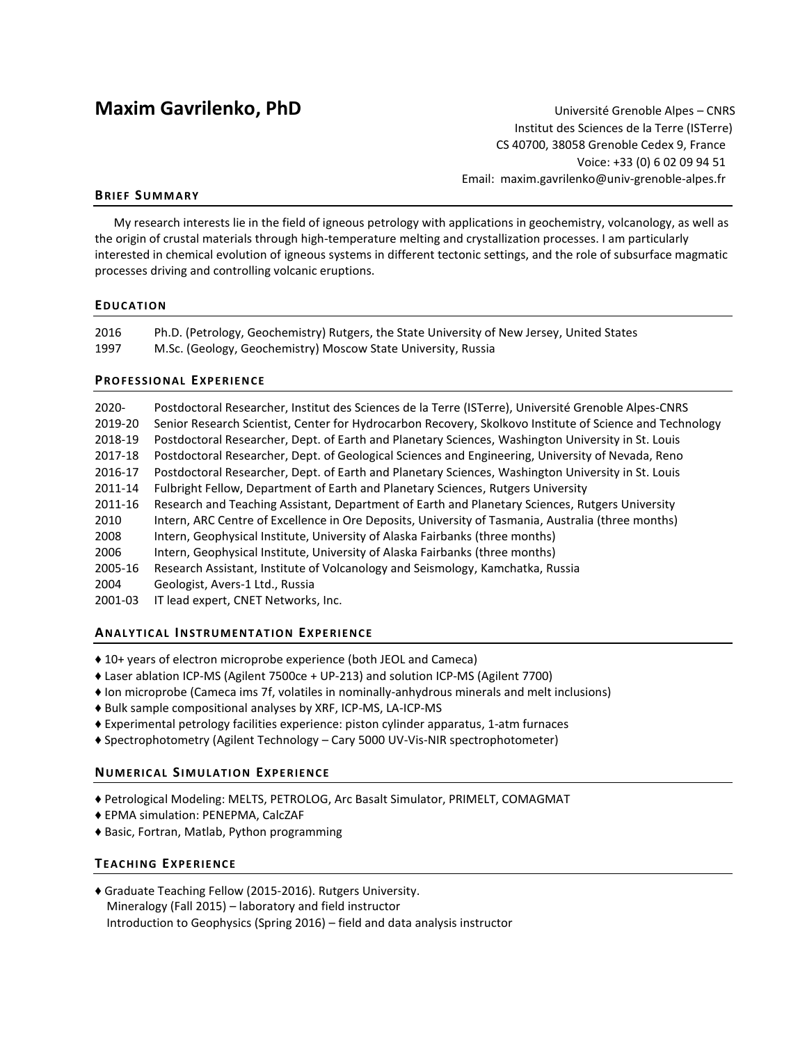# **Maxim Gavrilenko, PhD** Université Grenoble Alpes – CNRS

Institut des Sciences de la Terre (ISTerre) CS 40700, 38058 Grenoble Cedex 9, France Voice: +33 (0) 6 02 09 94 51 Email: maxim.gavrilenko@univ-grenoble-alpes.fr

# **BRIEF SUMM AR Y**

My research interests lie in the field of igneous petrology with applications in geochemistry, volcanology, as well as the origin of crustal materials through high-temperature melting and crystallization processes. I am particularly interested in chemical evolution of igneous systems in different tectonic settings, and the role of subsurface magmatic processes driving and controlling volcanic eruptions.

# **EDUC AT ION**

| 2016 | Ph.D. (Petrology, Geochemistry) Rutgers, the State University of New Jersey, United States |
|------|--------------------------------------------------------------------------------------------|
| 1997 | M.Sc. (Geology, Geochemistry) Moscow State University, Russia                              |

# **PRO FES SIO N AL EXPER IEN CE**

2020- Postdoctoral Researcher, Institut des Sciences de la Terre (ISTerre), Université Grenoble Alpes-CNRS 2019-20 Senior Research Scientist, Center for Hydrocarbon Recovery, Skolkovo Institute of Science and Technology 2018-19 Postdoctoral Researcher, Dept. of Earth and Planetary Sciences, Washington University in St. Louis 2017-18 Postdoctoral Researcher, Dept. of Geological Sciences and Engineering, University of Nevada, Reno 2016-17 Postdoctoral Researcher, Dept. of Earth and Planetary Sciences, Washington University in St. Louis 2011-14 Fulbright Fellow, Department of Earth and Planetary Sciences, Rutgers University 2011-16 Research and Teaching Assistant, Department of Earth and Planetary Sciences, Rutgers University 2010 Intern, ARC Centre of Excellence in Ore Deposits, University of Tasmania, Australia (three months) 2008 Intern, Geophysical Institute, University of Alaska Fairbanks (three months) 2006 Intern, Geophysical Institute, University of Alaska Fairbanks (three months) 2005-16 Research Assistant, Institute of Volcanology and Seismology, Kamchatka, Russia 2004 Geologist, Avers-1 Ltd., Russia 2001-03 IT lead expert, CNET Networks, Inc.

## **ANAL YT ICAL IN ST RUME NT AT ION EXPE RIE NCE**

- ♦ 10+ years of electron microprobe experience (both JEOL and Cameca)
- ♦ Laser ablation ICP-MS (Agilent 7500ce + UP-213) and solution ICP-MS (Agilent 7700)
- ♦ Ion microprobe (Cameca ims 7f, volatiles in nominally-anhydrous minerals and melt inclusions)
- ♦ Bulk sample compositional analyses by XRF, ICP-MS, LA-ICP-MS
- ♦ Experimental petrology facilities experience: piston cylinder apparatus, 1-atm furnaces
- ♦ Spectrophotometry (Agilent Technology Cary 5000 UV-Vis-NIR spectrophotometer)

## **NUMERIC AL SIMUL ATI ON EXPER IENCE**

- ♦ Petrological Modeling: MELTS, PETROLOG, Arc Basalt Simulator, PRIMELT, COMAGMAT
- ♦ EPMA simulation: PENEPMA, CalcZAF
- ♦ Basic, Fortran, Matlab, Python programming

# **TEACHI NG EXPE RIE NCE**

♦ Graduate Teaching Fellow (2015-2016). Rutgers University. Mineralogy (Fall 2015) – laboratory and field instructor Introduction to Geophysics (Spring 2016) – field and data analysis instructor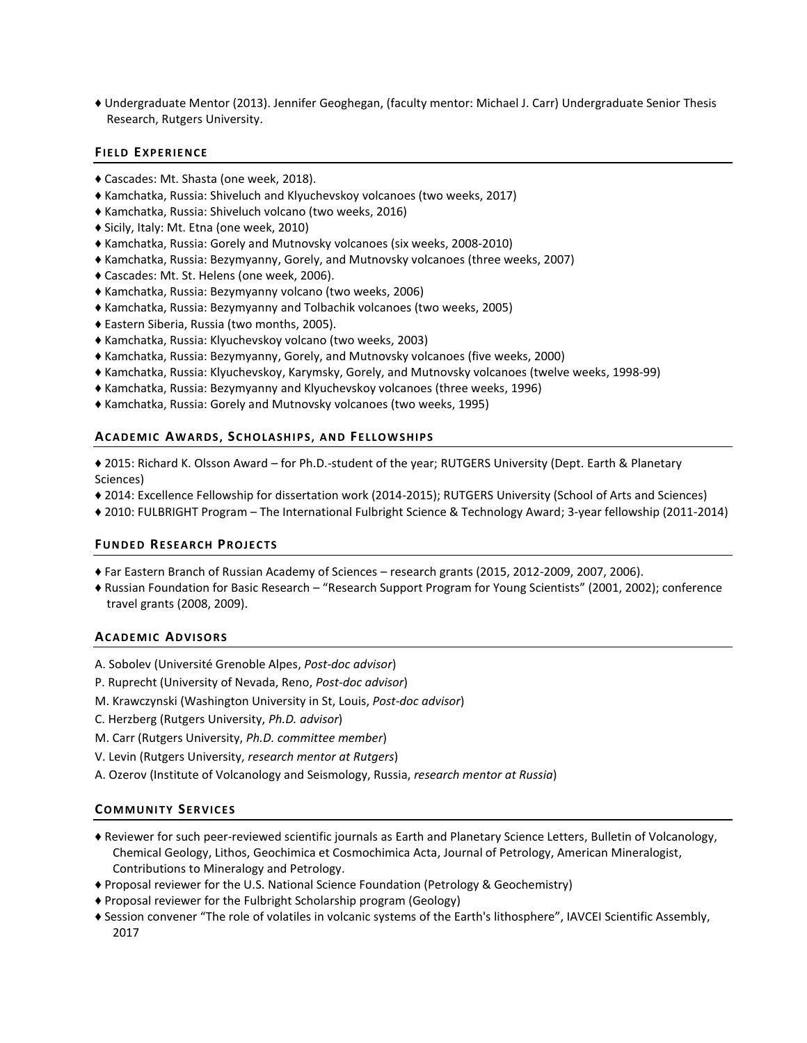♦ Undergraduate Mentor (2013). Jennifer Geoghegan, (faculty mentor: Michael J. Carr) Undergraduate Senior Thesis Research, Rutgers University.

# **FIELD EXPE RIE NCE**

- ♦ Cascades: Mt. Shasta (one week, 2018).
- ♦ Kamchatka, Russia: Shiveluch and Klyuchevskoy volcanoes (two weeks, 2017)
- ♦ Kamchatka, Russia: Shiveluch volcano (two weeks, 2016)
- ♦ Sicily, Italy: Mt. Etna (one week, 2010)
- ♦ Kamchatka, Russia: Gorely and Mutnovsky volcanoes (six weeks, 2008-2010)
- ♦ Kamchatka, Russia: Bezymyanny, Gorely, and Mutnovsky volcanoes (three weeks, 2007)
- ♦ Cascades: Mt. St. Helens (one week, 2006).
- ♦ Kamchatka, Russia: Bezymyanny volcano (two weeks, 2006)
- ♦ Kamchatka, Russia: Bezymyanny and Tolbachik volcanoes (two weeks, 2005)
- ♦ Eastern Siberia, Russia (two months, 2005).
- ♦ Kamchatka, Russia: Klyuchevskoy volcano (two weeks, 2003)
- ♦ Kamchatka, Russia: Bezymyanny, Gorely, and Mutnovsky volcanoes (five weeks, 2000)
- ♦ Kamchatka, Russia: Klyuchevskoy, Karymsky, Gorely, and Mutnovsky volcanoes (twelve weeks, 1998-99)
- ♦ Kamchatka, Russia: Bezymyanny and Klyuchevskoy volcanoes (three weeks, 1996)
- ♦ Kamchatka, Russia: Gorely and Mutnovsky volcanoes (two weeks, 1995)

# **ACADEMIC AW AR DS , SC H OLA SH IP S, A N D FELLOW S HIP S**

♦ 2015: Richard K. Olsson Award – for Ph.D.-student of the year; RUTGERS University (Dept. Earth & Planetary Sciences)

- ♦ 2014: Excellence Fellowship for dissertation work (2014-2015); RUTGERS University (School of Arts and Sciences)
- ♦ 2010: FULBRIGHT Program The International Fulbright Science & Technology Award; 3-year fellowship (2011-2014)

# **FUN DE D RESE A RCH PROJE CTS**

- ♦ Far Eastern Branch of Russian Academy of Sciences research grants (2015, 2012-2009, 2007, 2006).
- ♦ Russian Foundation for Basic Research "Research Support Program for Young Scientists" (2001, 2002); conference travel grants (2008, 2009).

## **ACADEMIC AD VI SOR S**

- A. Sobolev (Université Grenoble Alpes, *Post-doc advisor*)
- P. Ruprecht (University of Nevada, Reno, *Post-doc advisor*)
- M. Krawczynski (Washington University in St, Louis, *Post-doc advisor*)
- C. Herzberg (Rutgers University, *Ph.D. advisor*)
- M. Carr (Rutgers University, *Ph.D. committee member*)
- V. Levin (Rutgers University, *research mentor at Rutgers*)
- A. Ozerov (Institute of Volcanology and Seismology, Russia, *research mentor at Russia*)

# **COMMUNITY SERVICES**

- ♦ Reviewer for such peer-reviewed scientific journals as Earth and Planetary Science Letters, Bulletin of Volcanology, Chemical Geology, Lithos, Geochimica et Cosmochimica Acta, Journal of Petrology, American Mineralogist, Contributions to Mineralogy and Petrology.
- ♦ Proposal reviewer for the U.S. National Science Foundation (Petrology & Geochemistry)
- ♦ Proposal reviewer for the Fulbright Scholarship program (Geology)
- ♦ Session convener "The role of volatiles in volcanic systems of the Earth's lithosphere", IAVCEI Scientific Assembly, 2017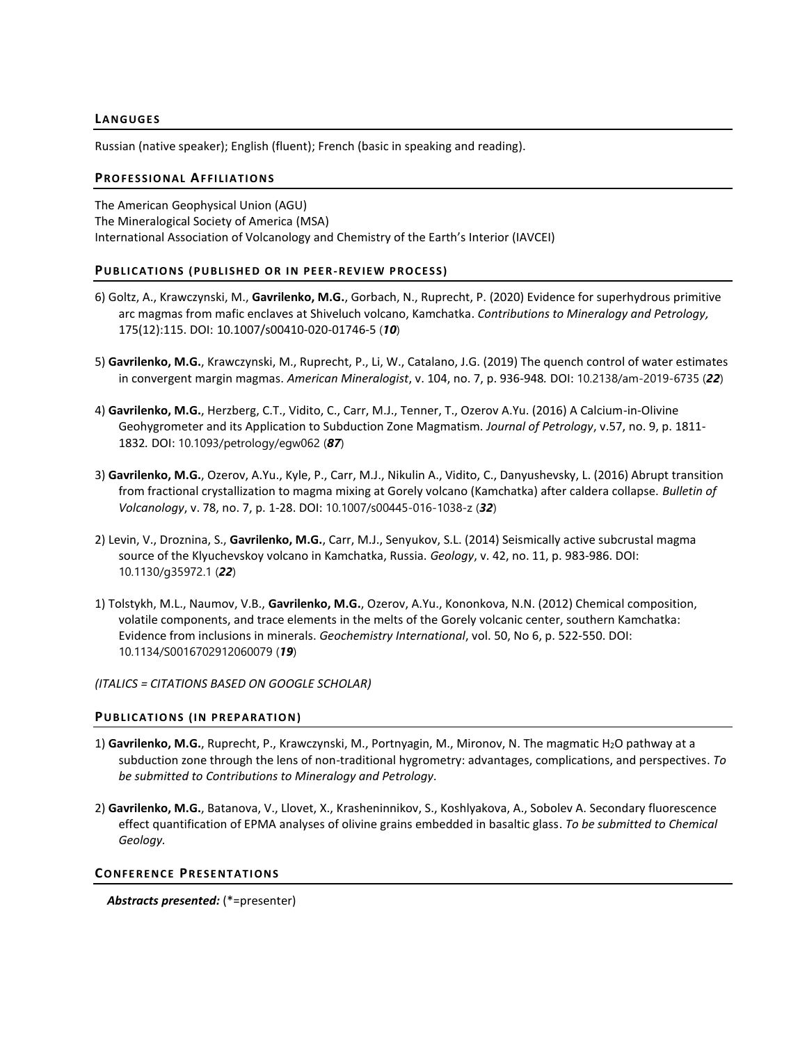# **LA NGUGE S**

Russian (native speaker); English (fluent); French (basic in speaking and reading).

# **PROFESSIONAL AFFILIATIONS**

The American Geophysical Union (AGU) The Mineralogical Society of America (MSA) International Association of Volcanology and Chemistry of the Earth's Interior (IAVCEI)

## **PUBLICATIONS (PUBLISHED OR IN PEER-REVIEW PROCESS)**

- 6) Goltz, A., Krawczynski, M., **Gavrilenko, M.G.**, Gorbach, N., Ruprecht, P. (2020) Evidence for superhydrous primitive arc magmas from mafic enclaves at Shiveluch volcano, Kamchatka. *Contributions to Mineralogy and Petrology,*  175(12):115. DOI: 10.1007/s00410-020-01746-5 (*10*)
- 5) **Gavrilenko, M.G.**, Krawczynski, M., Ruprecht, P., Li, W., Catalano, J.G. (2019) The quench control of water estimates in convergent margin magmas. *American Mineralogist*, v. 104, no. 7, p. 936-948*.* DOI: 10.2138/am-2019-6735 (*22*)
- 4) **Gavrilenko, M.G.**, Herzberg, C.T., Vidito, C., Carr, M.J., Tenner, T., Ozerov A.Yu. (2016) A Calcium-in-Olivine Geohygrometer and its Application to Subduction Zone Magmatism. *Journal of Petrology*, v.57, no. 9, p. 1811- 1832*.* DOI: 10.1093/petrology/egw062 (*87*)
- 3) **Gavrilenko, M.G.**, Ozerov, A.Yu., Kyle, P., Carr, M.J., Nikulin A., Vidito, C., Danyushevsky, L. (2016) Abrupt transition from fractional crystallization to magma mixing at Gorely volcano (Kamchatka) after caldera collapse. *Bulletin of Volcanology*, v. 78, no. 7, p. 1-28. DOI: 10.1007/s00445-016-1038-z (*32*)
- 2) Levin, V., Droznina, S., **Gavrilenko, M.G.**, Carr, M.J., Senyukov, S.L. (2014) Seismically active subcrustal magma source of the Klyuchevskoy volcano in Kamchatka, Russia. *Geology*, v. 42, no. 11, p. 983-986. DOI: 10.1130/g35972.1 (*22*)
- 1) Tolstykh, M.L., Naumov, V.B., **Gavrilenko, M.G.**, Ozerov, A.Yu., Kononkova, N.N. (2012) Chemical composition, volatile components, and trace elements in the melts of the Gorely volcanic center, southern Kamchatka: Evidence from inclusions in minerals. *Geochemistry International*, vol. 50, No 6, p. 522-550. DOI: 10.1134/S0016702912060079 (*19*)

*(ITALICS = CITATIONS BASED ON GOOGLE SCHOLAR)*

## **PUBLICATIONS (IN PREPARATION)**

- 1) **Gavrilenko, M.G.**, Ruprecht, P., Krawczynski, M., Portnyagin, M., Mironov, N. The magmatic H2O pathway at a subduction zone through the lens of non-traditional hygrometry: advantages, complications, and perspectives. *To be submitted to Contributions to Mineralogy and Petrology.*
- 2) **Gavrilenko, M.G.**, Batanova, V., Llovet, X., Krasheninnikov, S., Koshlyakova, A., Sobolev A. Secondary fluorescence effect quantification of EPMA analyses of olivine grains embedded in basaltic glass. *To be submitted to Chemical Geology.*

## **CONFERENCE PRESENTATIONS**

*Abstracts presented:* (\*=presenter)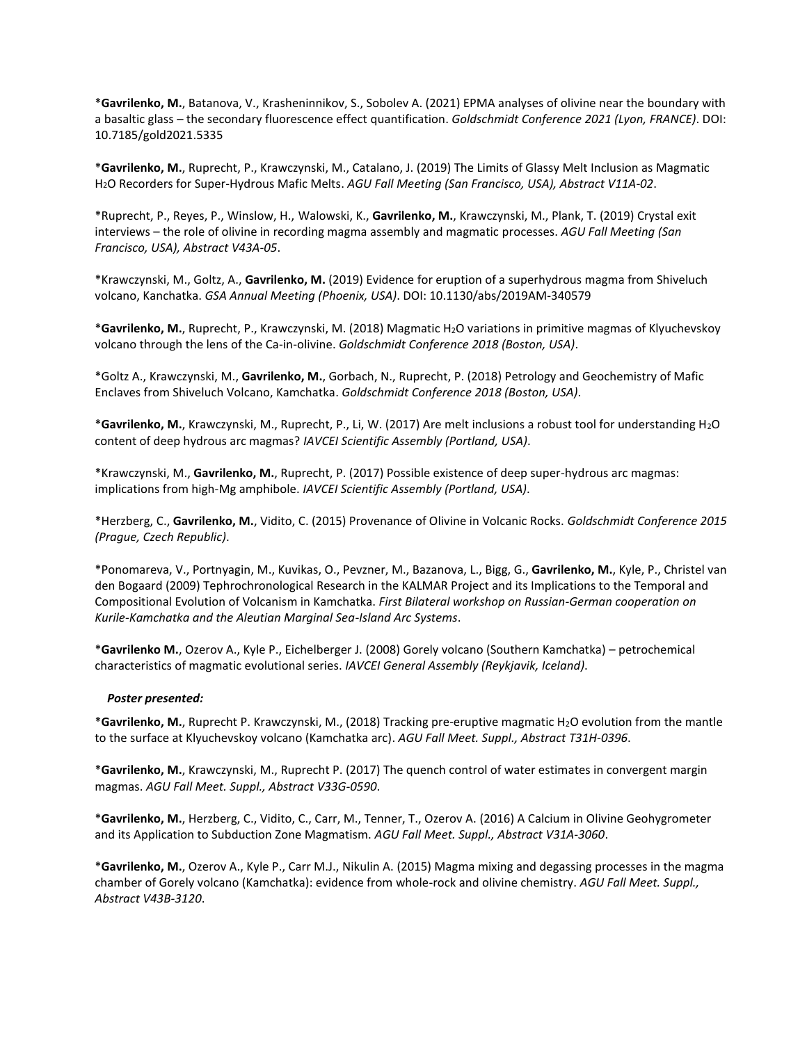\***Gavrilenko, M.**, Batanova, V., Krasheninnikov, S., Sobolev A. (2021) EPMA analyses of olivine near the boundary with a basaltic glass – the secondary fluorescence effect quantification. *Goldschmidt Conference 2021 (Lyon, FRANCE)*. DOI: 10.7185/gold2021.5335

\***Gavrilenko, M.**, Ruprecht, P., Krawczynski, M., Catalano, J. (2019) The Limits of Glassy Melt Inclusion as Magmatic H2O Recorders for Super-Hydrous Mafic Melts. *AGU Fall Meeting (San Francisco, USA), Abstract V11A-02*.

\*Ruprecht, P., Reyes, P., Winslow, H., Walowski, K., **Gavrilenko, M.**, Krawczynski, M., Plank, T. (2019) Crystal exit interviews – the role of olivine in recording magma assembly and magmatic processes. *AGU Fall Meeting (San Francisco, USA), Abstract V43A-05*.

\*Krawczynski, M., Goltz, A., **Gavrilenko, M.** (2019) Evidence for eruption of a superhydrous magma from Shiveluch volcano, Kanchatka. *GSA Annual Meeting (Phoenix, USA)*. DOI: 10.1130/abs/2019AM-340579

\***Gavrilenko, M.**, Ruprecht, P., Krawczynski, M. (2018) Magmatic H2O variations in primitive magmas of Klyuchevskoy volcano through the lens of the Ca-in-olivine. *Goldschmidt Conference 2018 (Boston, USA)*.

\*Goltz A., Krawczynski, M., **Gavrilenko, M.**, Gorbach, N., Ruprecht, P. (2018) Petrology and Geochemistry of Mafic Enclaves from Shiveluch Volcano, Kamchatka. *Goldschmidt Conference 2018 (Boston, USA)*.

\***Gavrilenko, M.**, Krawczynski, M., Ruprecht, P., Li, W. (2017) Are melt inclusions a robust tool for understanding H2O content of deep hydrous arc magmas? *IAVCEI Scientific Assembly (Portland, USA)*.

\*Krawczynski, M., **Gavrilenko, M.**, Ruprecht, P. (2017) Possible existence of deep super-hydrous arc magmas: implications from high-Mg amphibole. *IAVCEI Scientific Assembly (Portland, USA)*.

\*Herzberg, C., **Gavrilenko, M.**, Vidito, C. (2015) Provenance of Olivine in Volcanic Rocks. *Goldschmidt Conference 2015 (Prague, Czech Republic)*.

\*Ponomareva, V., Portnyagin, M., Kuvikas, O., Pevzner, M., Bazanova, L., Bigg, G., **Gavrilenko, M.**, Kyle, P., Christel van den Bogaard (2009) Tephrochronological Research in the KALMAR Project and its Implications to the Temporal and Compositional Evolution of Volcanism in Kamchatka. *First Bilateral workshop on Russian-German cooperation on Kurile-Kamchatka and the Aleutian Marginal Sea-Island Arc Systems*.

\***Gavrilenko M.**, Ozerov A., Kyle P., Eichelberger J. (2008) Gorely volcano (Southern Kamchatka) – petrochemical characteristics of magmatic evolutional series. *IAVCEI General Assembly (Reykjavik, Iceland)*.

## *Poster presented:*

\***Gavrilenko, M.**, Ruprecht P. Krawczynski, M., (2018) Tracking pre-eruptive magmatic H2O evolution from the mantle to the surface at Klyuchevskoy volcano (Kamchatka arc). *AGU Fall Meet. Suppl., Abstract T31H-0396*.

\***Gavrilenko, M.**, Krawczynski, M., Ruprecht P. (2017) The quench control of water estimates in convergent margin magmas. *AGU Fall Meet. Suppl., Abstract V33G-0590*.

\***Gavrilenko, M.**, Herzberg, C., Vidito, C., Carr, M., Tenner, T., Ozerov A. (2016) A Calcium in Olivine Geohygrometer and its Application to Subduction Zone Magmatism. *AGU Fall Meet. Suppl., Abstract V31A-3060*.

\***Gavrilenko, M.**, Ozerov A., Kyle P., Carr M.J., Nikulin A. (2015) Magma mixing and degassing processes in the magma chamber of Gorely volcano (Kamchatka): evidence from whole-rock and olivine chemistry. *AGU Fall Meet. Suppl., Abstract V43B-3120*.